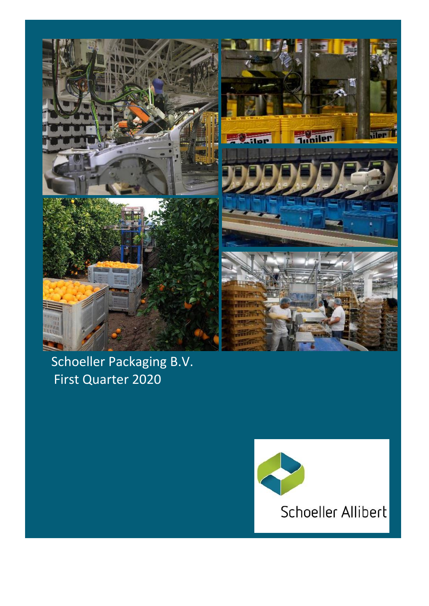

# Schoeller Packaging B.V. First Quarter 2020

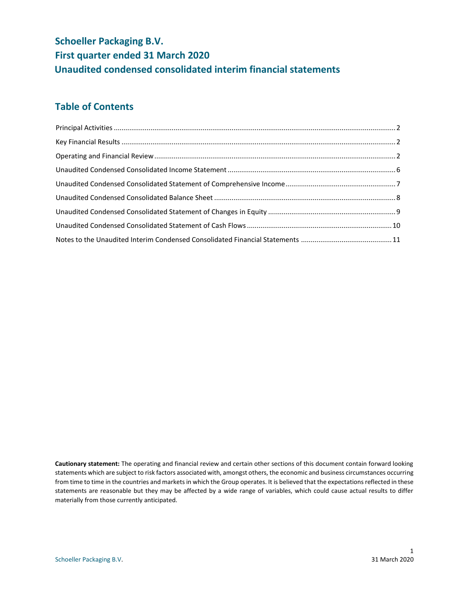# **Schoeller Packaging B.V. First quarter ended 31 March 2020 Unaudited condensed consolidated interim financial statements**

### **Table of Contents**

**Cautionary statement:** The operating and financial review and certain other sections of this document contain forward looking statements which are subject to risk factors associated with, amongst others, the economic and business circumstances occurring from time to time in the countries and markets in which the Group operates. It is believed that the expectations reflected in these statements are reasonable but they may be affected by a wide range of variables, which could cause actual results to differ materially from those currently anticipated.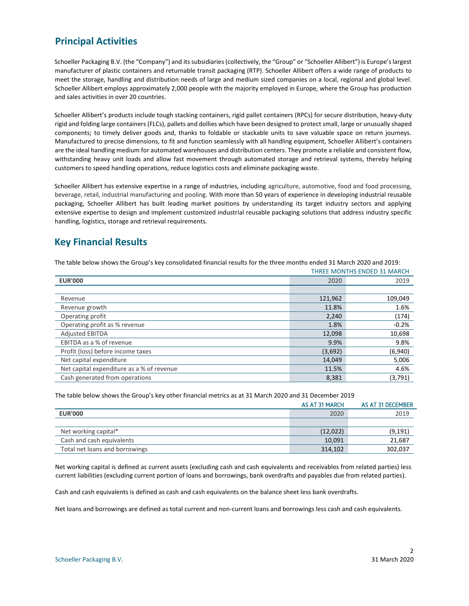### <span id="page-2-0"></span>**Principal Activities**

Schoeller Packaging B.V. (the "Company") and its subsidiaries (collectively, the "Group" or "Schoeller Allibert") is Europe's largest manufacturer of plastic containers and returnable transit packaging (RTP). Schoeller Allibert offers a wide range of products to meet the storage, handling and distribution needs of large and medium sized companies on a local, regional and global level. Schoeller Allibert employs approximately 2,000 people with the majority employed in Europe, where the Group has production and sales activities in over 20 countries.

Schoeller Allibert's products include tough stacking containers, rigid pallet containers (RPCs) for secure distribution, heavy-duty rigid and folding large containers (FLCs), pallets and dollies which have been designed to protect small, large or unusually shaped components; to timely deliver goods and, thanks to foldable or stackable units to save valuable space on return journeys. Manufactured to precise dimensions, to fit and function seamlessly with all handling equipment, Schoeller Allibert's containers are the ideal handling medium for automated warehouses and distribution centers. They promote a reliable and consistent flow, withstanding heavy unit loads and allow fast movement through automated storage and retrieval systems, thereby helping customers to speed handling operations, reduce logistics costs and eliminate packaging waste.

Schoeller Allibert has extensive expertise in a range of industries, including agriculture, automotive, food and food processing, beverage, retail, industrial manufacturing and pooling. With more than 50 years of experience in developing industrial reusable packaging, Schoeller Allibert has built leading market positions by understanding its target industry sectors and applying extensive expertise to design and implement customized industrial reusable packaging solutions that address industry specific handling, logistics, storage and retrieval requirements.

### <span id="page-2-1"></span>**Key Financial Results**

The table below shows the Group's key consolidated financial results for the three months ended 31 March 2020 and 2019:

|                                           | <b>THREE MONTHS ENDED 31 MARCH</b> |         |  |
|-------------------------------------------|------------------------------------|---------|--|
| <b>EUR'000</b>                            | 2020                               |         |  |
|                                           |                                    |         |  |
| Revenue                                   | 121,962                            | 109,049 |  |
| Revenue growth                            | 11.8%                              | 1.6%    |  |
| Operating profit                          | 2,240                              | (174)   |  |
| Operating profit as % revenue             | 1.8%                               | $-0.2%$ |  |
| <b>Adjusted EBITDA</b>                    | 12,098                             | 10,698  |  |
| EBITDA as a % of revenue                  | 9.9%                               | 9.8%    |  |
| Profit (loss) before income taxes         | (3,692)                            | (6,940) |  |
| Net capital expenditure                   | 14,049                             | 5,006   |  |
| Net capital expenditure as a % of revenue | 11.5%                              | 4.6%    |  |
| Cash generated from operations            | 8,381                              | (3,791) |  |

The table below shows the Group's key other financial metrics as at 31 March 2020 and 31 December 2019

|                                | AS AT 31 MARCH | AS AT 31 DECEMBER |
|--------------------------------|----------------|-------------------|
| <b>EUR'000</b>                 | 2020           | 2019              |
|                                |                |                   |
| Net working capital*           | (12,022)       | (9, 191)          |
| Cash and cash equivalents      | 10,091         | 21,687            |
| Total net loans and borrowings | 314,102        | 302,037           |

<span id="page-2-2"></span>Net working capital is defined as current assets (excluding cash and cash equivalents and receivables from related parties) less current liabilities (excluding current portion of loans and borrowings, bank overdrafts and payables due from related parties).

Cash and cash equivalents is defined as cash and cash equivalents on the balance sheet less bank overdrafts.

Net loans and borrowings are defined as total current and non-current loans and borrowings less cash and cash equivalents.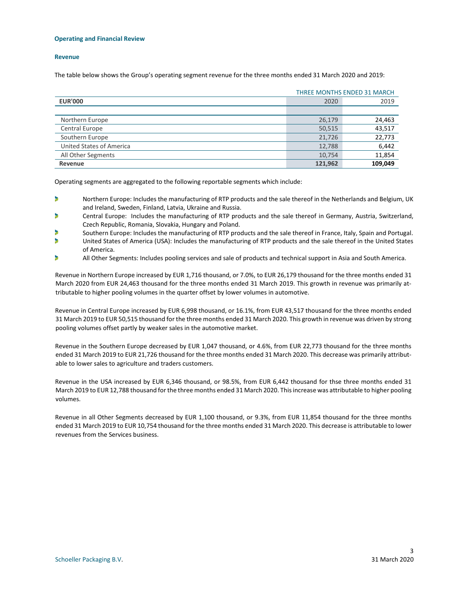#### **Operating and Financial Review**

#### **Revenue**

The table below shows the Group's operating segment revenue for the three months ended 31 March 2020 and 2019:

|                          | <b>THREE MONTHS ENDED 31 MARCH</b> |         |  |  |
|--------------------------|------------------------------------|---------|--|--|
| <b>EUR'000</b>           | 2019<br>2020                       |         |  |  |
|                          |                                    |         |  |  |
| Northern Europe          | 26,179                             | 24,463  |  |  |
| Central Europe           | 50,515                             | 43,517  |  |  |
| Southern Europe          | 21,726                             | 22,773  |  |  |
| United States of America | 12,788                             | 6,442   |  |  |
| All Other Segments       | 10,754                             | 11,854  |  |  |
| Revenue                  | 121.962                            | 109.049 |  |  |

Operating segments are aggregated to the following reportable segments which include:

- b Northern Europe: Includes the manufacturing of RTP products and the sale thereof in the Netherlands and Belgium, UK and Ireland, Sweden, Finland, Latvia, Ukraine and Russia.
- Central Europe: Includes the manufacturing of RTP products and the sale thereof in Germany, Austria, Switzerland, ь Czech Republic, Romania, Slovakia, Hungary and Poland.
- Southern Europe: Includes the manufacturing of RTP products and the sale thereof in France, Italy, Spain and Portugal.
- b United States of America (USA): Includes the manufacturing of RTP products and the sale thereof in the United States of America.
- b All Other Segments: Includes pooling services and sale of products and technical support in Asia and South America.

Revenue in Northern Europe increased by EUR 1,716 thousand, or 7.0%, to EUR 26,179 thousand for the three months ended 31 March 2020 from EUR 24,463 thousand for the three months ended 31 March 2019. This growth in revenue was primarily attributable to higher pooling volumes in the quarter offset by lower volumes in automotive.

Revenue in Central Europe increased by EUR 6,998 thousand, or 16.1%, from EUR 43,517 thousand for the three months ended 31 March 2019 to EUR 50,515 thousand for the three months ended 31 March 2020. This growth in revenue was driven by strong pooling volumes offset partly by weaker sales in the automotive market.

Revenue in the Southern Europe decreased by EUR 1,047 thousand, or 4.6%, from EUR 22,773 thousand for the three months ended 31 March 2019 to EUR 21,726 thousand for the three months ended 31 March 2020. This decrease was primarily attributable to lower sales to agriculture and traders customers.

Revenue in the USA increased by EUR 6,346 thousand, or 98.5%, from EUR 6,442 thousand for thse three months ended 31 March 2019 to EUR 12,788 thousand for the three months ended 31 March 2020. This increase was attributable to higher pooling volumes.

Revenue in all Other Segments decreased by EUR 1,100 thousand, or 9.3%, from EUR 11,854 thousand for the three months ended 31 March 2019 to EUR 10,754 thousand for the three months ended 31 March 2020. This decrease is attributable to lower revenues from the Services business.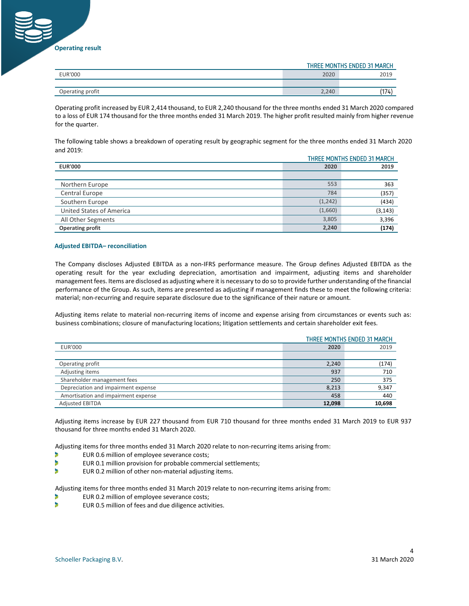**Operating result**

|                  | THREE MONTHS ENDED 31 MARCH |      |  |
|------------------|-----------------------------|------|--|
| EUR'000          | 2020                        | 2019 |  |
|                  |                             |      |  |
| Operating profit | 2,240                       | (14) |  |
|                  |                             |      |  |

Operating profit increased by EUR 2,414 thousand, to EUR 2,240 thousand for the three months ended 31 March 2020 compared to a loss of EUR 174 thousand for the three months ended 31 March 2019. The higher profit resulted mainly from higher revenue for the quarter.

The following table shows a breakdown of operating result by geographic segment for the three months ended 31 March 2020 and 2019:

| THREE MONTHS ENDED 31 MARCH |          |          |
|-----------------------------|----------|----------|
| <b>EUR'000</b>              | 2020     | 2019     |
|                             |          |          |
| Northern Europe             | 553      | 363      |
| Central Europe              | 784      | (357)    |
| Southern Europe             | (1, 242) | (434)    |
| United States of America    | (1,660)  | (3, 143) |
| All Other Segments          | 3,805    | 3,396    |
| <b>Operating profit</b>     | 2,240    | (174)    |

#### **Adjusted EBITDA– reconciliation**

The Company discloses Adjusted EBITDA as a non-IFRS performance measure. The Group defines Adjusted EBITDA as the operating result for the year excluding depreciation, amortisation and impairment, adjusting items and shareholder management fees. Items are disclosed as adjusting where it is necessary to do so to provide further understanding of the financial performance of the Group. As such, items are presented as adjusting if management finds these to meet the following criteria: material; non-recurring and require separate disclosure due to the significance of their nature or amount.

Adjusting items relate to material non-recurring items of income and expense arising from circumstances or events such as: business combinations; closure of manufacturing locations; litigation settlements and certain shareholder exit fees.

|                                     | THREE MONTHS ENDED 31 MARCH |        |  |  |
|-------------------------------------|-----------------------------|--------|--|--|
| <b>EUR'000</b>                      | 2019<br>2020                |        |  |  |
|                                     |                             |        |  |  |
| Operating profit                    | 2,240                       | (174)  |  |  |
| Adjusting items                     | 937                         | 710    |  |  |
| Shareholder management fees         | 250                         | 375    |  |  |
| Depreciation and impairment expense | 8,213                       | 9,347  |  |  |
| Amortisation and impairment expense | 458                         | 440    |  |  |
| <b>Adjusted EBITDA</b>              | 12,098                      | 10,698 |  |  |

Adjusting items increase by EUR 227 thousand from EUR 710 thousand for three months ended 31 March 2019 to EUR 937 thousand for three months ended 31 March 2020.

Adjusting items for three months ended 31 March 2020 relate to non-recurring items arising from:

- Þ EUR 0.6 million of employee severance costs;
- b EUR 0.1 million provision for probable commercial settlements;
- Þ EUR 0.2 million of other non-material adjusting items.

Adjusting items for three months ended 31 March 2019 relate to non-recurring items arising from:

- EUR 0.2 million of employee severance costs;
- b EUR 0.5 million of fees and due diligence activities.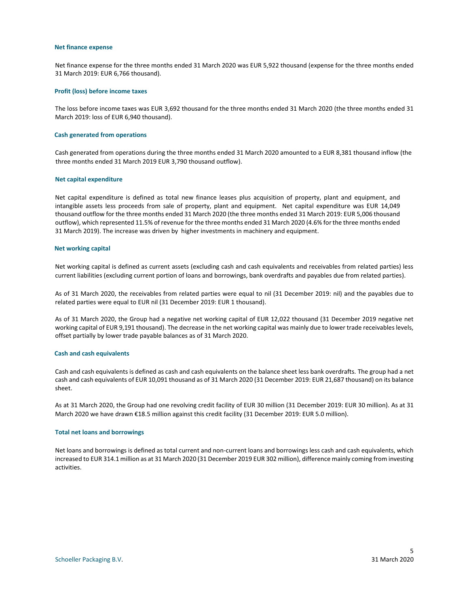#### **Net finance expense**

Net finance expense for the three months ended 31 March 2020 was EUR 5,922 thousand (expense for the three months ended 31 March 2019: EUR 6,766 thousand).

#### **Profit (loss) before income taxes**

The loss before income taxes was EUR 3,692 thousand for the three months ended 31 March 2020 (the three months ended 31 March 2019: loss of EUR 6,940 thousand).

#### **Cash generated from operations**

Cash generated from operations during the three months ended 31 March 2020 amounted to a EUR 8,381 thousand inflow (the three months ended 31 March 2019 EUR 3,790 thousand outflow).

#### **Net capital expenditure**

Net capital expenditure is defined as total new finance leases plus acquisition of property, plant and equipment, and intangible assets less proceeds from sale of property, plant and equipment. Net capital expenditure was EUR 14,049 thousand outflow for the three months ended 31 March 2020 (the three months ended 31 March 2019: EUR 5,006 thousand outflow), which represented 11.5% of revenue for the three months ended 31 March 2020 (4.6% for the three months ended 31 March 2019). The increase was driven by higher investments in machinery and equipment.

#### **Net working capital**

Net working capital is defined as current assets (excluding cash and cash equivalents and receivables from related parties) less current liabilities (excluding current portion of loans and borrowings, bank overdrafts and payables due from related parties).

As of 31 March 2020, the receivables from related parties were equal to nil (31 December 2019: nil) and the payables due to related parties were equal to EUR nil (31 December 2019: EUR 1 thousand).

As of 31 March 2020, the Group had a negative net working capital of EUR 12,022 thousand (31 December 2019 negative net working capital of EUR 9,191 thousand). The decrease in the net working capital was mainly due to lower trade receivables levels, offset partially by lower trade payable balances as of 31 March 2020.

#### **Cash and cash equivalents**

Cash and cash equivalents is defined as cash and cash equivalents on the balance sheet less bank overdrafts. The group had a net cash and cash equivalents of EUR 10,091 thousand as of 31 March 2020 (31 December 2019: EUR 21,687 thousand) on its balance sheet.

As at 31 March 2020, the Group had one revolving credit facility of EUR 30 million (31 December 2019: EUR 30 million). As at 31 March 2020 we have drawn €18.5 million against this credit facility (31 December 2019: EUR 5.0 million).

#### **Total net loans and borrowings**

Net loans and borrowings is defined as total current and non-current loans and borrowings less cash and cash equivalents, which increased to EUR 314.1 million as at 31 March 2020 (31 December 2019 EUR 302 million), difference mainly coming from investing activities.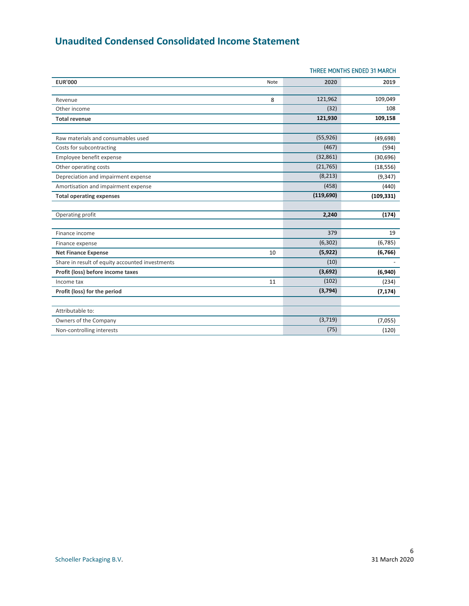## <span id="page-6-0"></span>**Unaudited Condensed Consolidated Income Statement**

|                                                 |      | THREE MONTHS ENDED 31 MARCH |            |  |
|-------------------------------------------------|------|-----------------------------|------------|--|
| <b>EUR'000</b>                                  | Note | 2020                        | 2019       |  |
| Revenue                                         | 8    | 121,962                     | 109,049    |  |
| Other income                                    |      | (32)                        | 108        |  |
| <b>Total revenue</b>                            |      | 121,930                     | 109,158    |  |
| Raw materials and consumables used              |      | (55, 926)                   | (49, 698)  |  |
| Costs for subcontracting                        |      | (467)                       | (594)      |  |
| Employee benefit expense                        |      | (32, 861)                   | (30, 696)  |  |
| Other operating costs                           |      | (21, 765)                   | (18, 556)  |  |
| Depreciation and impairment expense             |      | (8, 213)                    | (9, 347)   |  |
| Amortisation and impairment expense             |      | (458)                       | (440)      |  |
| <b>Total operating expenses</b>                 |      | (119, 690)                  | (109, 331) |  |
|                                                 |      |                             |            |  |
| Operating profit                                |      | 2,240                       | (174)      |  |
| Finance income                                  |      | 379                         | 19         |  |
| Finance expense                                 |      | (6, 302)                    | (6, 785)   |  |
| <b>Net Finance Expense</b>                      | 10   | (5, 922)                    | (6, 766)   |  |
| Share in result of equity accounted investments |      | (10)                        |            |  |
| Profit (loss) before income taxes               |      | (3,692)                     | (6,940)    |  |
| Income tax                                      | 11   | (102)                       | (234)      |  |
| Profit (loss) for the period                    |      | (3, 794)                    | (7, 174)   |  |
| Attributable to:                                |      |                             |            |  |
| Owners of the Company                           |      | (3, 719)                    | (7,055)    |  |
| Non-controlling interests                       |      | (75)                        | (120)      |  |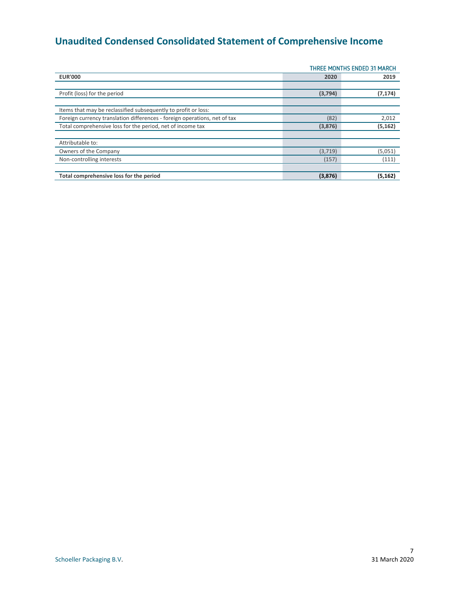# <span id="page-7-0"></span>**Unaudited Condensed Consolidated Statement of Comprehensive Income**

| THREE MONTHS ENDED 31 MARCH                                               |         |          |
|---------------------------------------------------------------------------|---------|----------|
| <b>EUR'000</b>                                                            | 2020    | 2019     |
|                                                                           |         |          |
| Profit (loss) for the period                                              | (3,794) | (7, 174) |
|                                                                           |         |          |
| Items that may be reclassified subsequently to profit or loss:            |         |          |
| Foreign currency translation differences - foreign operations, net of tax | (82)    | 2,012    |
| Total comprehensive loss for the period, net of income tax                | (3,876) | (5, 162) |
|                                                                           |         |          |
| Attributable to:                                                          |         |          |
| Owners of the Company                                                     | (3,719) | (5,051)  |
| Non-controlling interests                                                 | (157)   | (111)    |
|                                                                           |         |          |
| Total comprehensive loss for the period                                   | (3,876) | (5, 162) |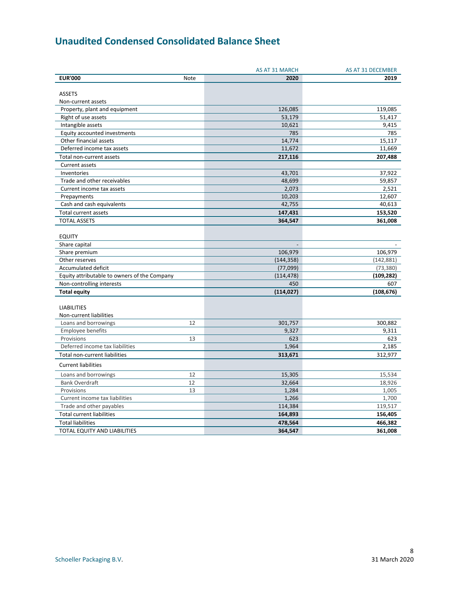## <span id="page-8-0"></span>**Unaudited Condensed Consolidated Balance Sheet**

|                                              | AS AT 31 MARCH | AS AT 31 DECEMBER |
|----------------------------------------------|----------------|-------------------|
| <b>EUR'000</b><br>Note                       | 2020           | 2019              |
|                                              |                |                   |
| <b>ASSETS</b>                                |                |                   |
| Non-current assets                           |                |                   |
| Property, plant and equipment                | 126,085        | 119,085           |
| Right of use assets                          | 53,179         | 51,417            |
| Intangible assets                            | 10,621         | 9,415             |
| Equity accounted investments                 | 785            | 785               |
| Other financial assets                       | 14,774         | 15,117            |
| Deferred income tax assets                   | 11,672         | 11,669            |
| Total non-current assets                     | 217,116        | 207,488           |
| <b>Current assets</b>                        |                |                   |
| Inventories                                  | 43,701         | 37,922            |
| Trade and other receivables                  | 48,699         | 59,857            |
| Current income tax assets                    | 2,073          | 2,521             |
| Prepayments                                  | 10,203         | 12,607            |
| Cash and cash equivalents                    | 42,755         | 40,613            |
| Total current assets                         | 147,431        | 153,520           |
| <b>TOTAL ASSETS</b>                          | 364,547        | 361,008           |
|                                              |                |                   |
| <b>EQUITY</b>                                |                |                   |
| Share capital                                |                |                   |
| Share premium                                | 106,979        | 106,979           |
| Other reserves                               | (144, 358)     | (142, 881)        |
| Accumulated deficit                          | (77,099)       | (73, 380)         |
| Equity attributable to owners of the Company | (114, 478)     | (109, 282)        |
| Non-controlling interests                    | 450            | 607               |
| <b>Total equity</b>                          | (114, 027)     | (108, 676)        |
|                                              |                |                   |
| <b>LIABILITIES</b>                           |                |                   |
| Non-current liabilities                      |                |                   |
| 12<br>Loans and borrowings                   | 301,757        | 300,882           |
| <b>Employee benefits</b>                     | 9,327          | 9,311             |
| Provisions<br>13                             | 623            | 623               |
| Deferred income tax liabilities              | 1,964          | 2,185             |
| Total non-current liabilities                | 313,671        | 312,977           |
|                                              |                |                   |
| <b>Current liabilities</b>                   |                |                   |
| Loans and borrowings<br>12                   | 15,305         | 15,534            |
| <b>Bank Overdraft</b><br>12                  | 32,664         | 18,926            |
| Provisions<br>13                             | 1,284          | 1,005             |
| Current income tax liabilities               | 1,266          | 1,700             |
| Trade and other payables                     | 114,384        | 119,517           |
| <b>Total current liabilities</b>             | 164,893        | 156,405           |
| <b>Total liabilities</b>                     | 478,564        | 466,382           |
| TOTAL EQUITY AND LIABILITIES                 | 364,547        | 361,008           |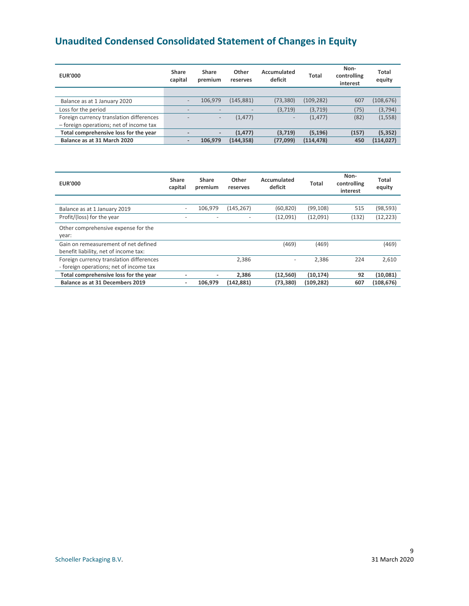# <span id="page-9-0"></span>**Unaudited Condensed Consolidated Statement of Changes in Equity**

| <b>EUR'000</b>                           | Share<br>capital         | Share<br>premium         | Other<br>reserves | Accumulated<br>deficit   | Total      | Non-<br>controlling<br>interest | Total<br>equity |
|------------------------------------------|--------------------------|--------------------------|-------------------|--------------------------|------------|---------------------------------|-----------------|
|                                          |                          |                          |                   |                          |            |                                 |                 |
| Balance as at 1 January 2020             | -                        | 106,979                  | (145, 881)        | (73, 380)                | (109, 282) | 607                             | (108, 676)      |
| Loss for the period                      | $\overline{\phantom{a}}$ |                          |                   | (3,719)                  | (3,719)    | (75)                            | (3, 794)        |
| Foreign currency translation differences | $\overline{\phantom{a}}$ | $\overline{\phantom{0}}$ | (1, 477)          | $\overline{\phantom{a}}$ | (1, 477)   | (82)                            | (1, 558)        |
| - foreign operations; net of income tax  |                          |                          |                   |                          |            |                                 |                 |
| Total comprehensive loss for the year    |                          | -                        | (1, 477)          | (3,719)                  | (5, 196)   | (157)                           | (5, 352)        |
| Balance as at 31 March 2020              | $\overline{\phantom{0}}$ | 106.979                  | (144, 358)        | (77, 099)                | (114, 478) | 450                             | (114, 027)      |

| <b>EUR'000</b>                           | Share<br>capital         | Share<br>premium | Other<br>reserves | Accumulated<br>deficit       | Total      | Non-<br>controlling<br>interest | Total<br>equity |
|------------------------------------------|--------------------------|------------------|-------------------|------------------------------|------------|---------------------------------|-----------------|
|                                          |                          |                  |                   |                              |            |                                 |                 |
| Balance as at 1 January 2019             | $\overline{\phantom{0}}$ | 106,979          | (145, 267)        | (60, 820)                    | (99, 108)  | 515                             | (98,593)        |
| Profit/(loss) for the year               |                          |                  |                   | (12,091)                     | (12,091)   | (132)                           | (12, 223)       |
| Other comprehensive expense for the      |                          |                  |                   |                              |            |                                 |                 |
| year:                                    |                          |                  |                   |                              |            |                                 |                 |
| Gain on remeasurement of net defined     |                          |                  |                   | (469)                        | (469)      |                                 | (469)           |
| benefit liability, net of income tax:    |                          |                  |                   |                              |            |                                 |                 |
| Foreign currency translation differences |                          |                  | 2.386             | $\qquad \qquad \blacksquare$ | 2.386      | 224                             | 2.610           |
| - foreign operations; net of income tax  |                          |                  |                   |                              |            |                                 |                 |
| Total comprehensive loss for the year    | ۰                        |                  | 2,386             | (12, 560)                    | (10, 174)  | 92                              | (10, 081)       |
| Balance as at 31 Decembers 2019          | ۰                        | 106.979          | (142, 881)        | (73, 380)                    | (109, 282) | 607                             | (108, 676)      |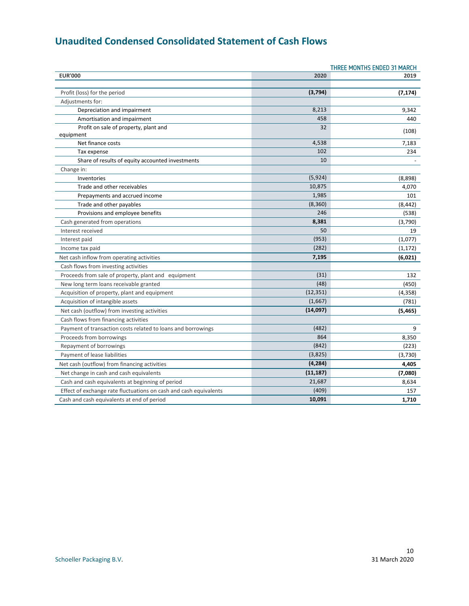# <span id="page-10-0"></span>**Unaudited Condensed Consolidated Statement of Cash Flows**

| THREE MONTHS ENDED 31 MARCH                                       |           |          |  |
|-------------------------------------------------------------------|-----------|----------|--|
| <b>EUR'000</b>                                                    | 2020      | 2019     |  |
|                                                                   |           |          |  |
| Profit (loss) for the period                                      | (3,794)   | (7, 174) |  |
| Adjustments for:                                                  |           |          |  |
| Depreciation and impairment                                       | 8,213     | 9,342    |  |
| Amortisation and impairment                                       | 458       | 440      |  |
| Profit on sale of property, plant and                             | 32        | (108)    |  |
| equipment                                                         |           |          |  |
| Net finance costs                                                 | 4,538     | 7,183    |  |
| Tax expense                                                       | 102       | 234      |  |
| Share of results of equity accounted investments                  | 10        |          |  |
| Change in:                                                        |           |          |  |
| Inventories                                                       | (5,924)   | (8,898)  |  |
| Trade and other receivables                                       | 10,875    | 4,070    |  |
| Prepayments and accrued income                                    | 1,985     | 101      |  |
| Trade and other payables                                          | (8,360)   | (8, 442) |  |
| Provisions and employee benefits                                  | 246       | (538)    |  |
| Cash generated from operations                                    | 8,381     | (3,790)  |  |
| Interest received                                                 | 50        | 19       |  |
| Interest paid                                                     | (953)     | (1,077)  |  |
| Income tax paid                                                   | (282)     | (1, 172) |  |
| Net cash inflow from operating activities                         | 7,195     | (6,021)  |  |
| Cash flows from investing activities                              |           |          |  |
| Proceeds from sale of property, plant and equipment               | (31)      | 132      |  |
| New long term loans receivable granted                            | (48)      | (450)    |  |
| Acquisition of property, plant and equipment                      | (12, 351) | (4, 358) |  |
| Acquisition of intangible assets                                  | (1,667)   | (781)    |  |
| Net cash (outflow) from investing activities                      | (14,097)  | (5, 465) |  |
| Cash flows from financing activities                              |           |          |  |
| Payment of transaction costs related to loans and borrowings      | (482)     | 9        |  |
| Proceeds from borrowings                                          | 864       | 8,350    |  |
| Repayment of borrowings                                           | (842)     | (223)    |  |
| Payment of lease liabilities                                      | (3,825)   | (3,730)  |  |
| Net cash (outflow) from financing activities                      | (4, 284)  | 4,405    |  |
| Net change in cash and cash equivalents                           | (11, 187) | (7,080)  |  |
| Cash and cash equivalents at beginning of period                  | 21,687    | 8,634    |  |
| Effect of exchange rate fluctuations on cash and cash equivalents | (409)     | 157      |  |
| Cash and cash equivalents at end of period                        | 10,091    | 1,710    |  |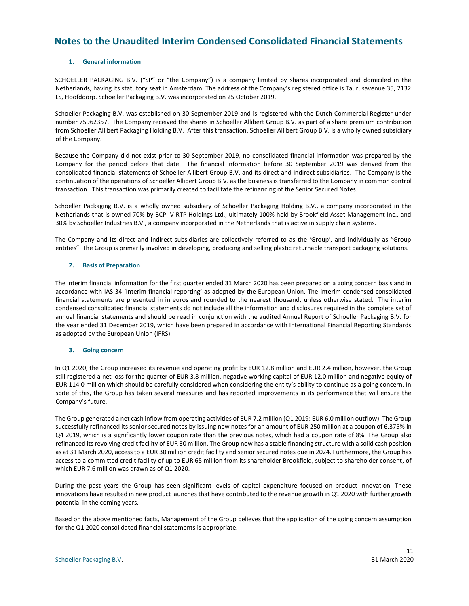### <span id="page-11-0"></span>**Notes to the Unaudited Interim Condensed Consolidated Financial Statements**

#### **1. General information**

SCHOELLER PACKAGING B.V. ("SP" or "the Company") is a company limited by shares incorporated and domiciled in the Netherlands, having its statutory seat in Amsterdam. The address of the Company's registered office is Taurusavenue 35, 2132 LS, Hoofddorp. Schoeller Packaging B.V. was incorporated on 25 October 2019.

Schoeller Packaging B.V. was established on 30 September 2019 and is registered with the Dutch Commercial Register under number 75962357. The Company received the shares in Schoeller Allibert Group B.V. as part of a share premium contribution from Schoeller Allibert Packaging Holding B.V. After this transaction, Schoeller Allibert Group B.V. is a wholly owned subsidiary of the Company.

Because the Company did not exist prior to 30 September 2019, no consolidated financial information was prepared by the Company for the period before that date. The financial information before 30 September 2019 was derived from the consolidated financial statements of Schoeller Allibert Group B.V. and its direct and indirect subsidiaries. The Company is the continuation of the operations of Schoeller Allibert Group B.V. as the business is transferred to the Company in common control transaction. This transaction was primarily created to facilitate the refinancing of the Senior Secured Notes.

Schoeller Packaging B.V. is a wholly owned subsidiary of Schoeller Packaging Holding B.V., a company incorporated in the Netherlands that is owned 70% by BCP IV RTP Holdings Ltd., ultimately 100% held by Brookfield Asset Management Inc., and 30% by Schoeller Industries B.V., a company incorporated in the Netherlands that is active in supply chain systems.

The Company and its direct and indirect subsidiaries are collectively referred to as the 'Group', and individually as "Group entities". The Group is primarily involved in developing, producing and selling plastic returnable transport packaging solutions.

#### **2. Basis of Preparation**

The interim financial information for the first quarter ended 31 March 2020 has been prepared on a going concern basis and in accordance with IAS 34 'Interim financial reporting' as adopted by the European Union. The interim condensed consolidated financial statements are presented in in euros and rounded to the nearest thousand, unless otherwise stated. The interim condensed consolidated financial statements do not include all the information and disclosures required in the complete set of annual financial statements and should be read in conjunction with the audited Annual Report of Schoeller Packaging B.V. for the year ended 31 December 2019, which have been prepared in accordance with International Financial Reporting Standards as adopted by the European Union (IFRS).

#### **3. Going concern**

In Q1 2020, the Group increased its revenue and operating profit by EUR 12.8 million and EUR 2.4 million, however, the Group still registered a net loss for the quarter of EUR 3.8 million, negative working capital of EUR 12.0 million and negative equity of EUR 114.0 million which should be carefully considered when considering the entity's ability to continue as a going concern. In spite of this, the Group has taken several measures and has reported improvements in its performance that will ensure the Company's future.

The Group generated a net cash inflow from operating activities of EUR 7.2 million (Q1 2019: EUR 6.0 million outflow). The Group successfully refinanced its senior secured notes by issuing new notes for an amount of EUR 250 million at a coupon of 6.375% in Q4 2019, which is a significantly lower coupon rate than the previous notes, which had a coupon rate of 8%. The Group also refinanced its revolving credit facility of EUR 30 million. The Group now has a stable financing structure with a solid cash position as at 31 March 2020, access to a EUR 30 million credit facility and senior secured notes due in 2024. Furthermore, the Group has access to a committed credit facility of up to EUR 65 million from its shareholder Brookfield, subject to shareholder consent, of which EUR 7.6 million was drawn as of Q1 2020.

During the past years the Group has seen significant levels of capital expenditure focused on product innovation. These innovations have resulted in new product launches that have contributed to the revenue growth in Q1 2020 with further growth potential in the coming years.

Based on the above mentioned facts, Management of the Group believes that the application of the going concern assumption for the Q1 2020 consolidated financial statements is appropriate.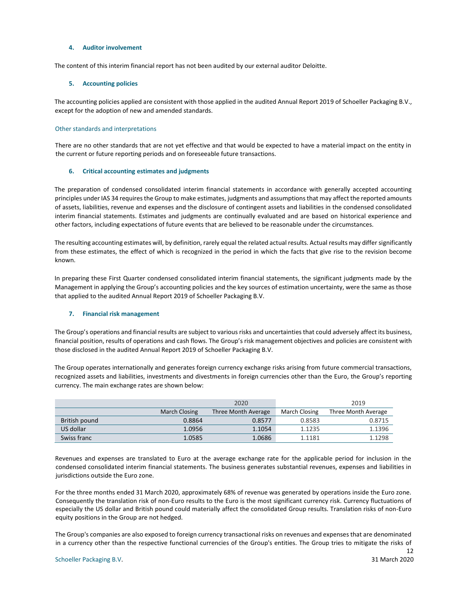#### **4. Auditor involvement**

The content of this interim financial report has not been audited by our external auditor Deloitte.

#### **5. Accounting policies**

The accounting policies applied are consistent with those applied in the audited Annual Report 2019 of Schoeller Packaging B.V., except for the adoption of new and amended standards.

#### Other standards and interpretations

There are no other standards that are not yet effective and that would be expected to have a material impact on the entity in the current or future reporting periods and on foreseeable future transactions.

#### **6. Critical accounting estimates and judgments**

The preparation of condensed consolidated interim financial statements in accordance with generally accepted accounting principles under IAS 34 requires the Group to make estimates, judgments and assumptions that may affect the reported amounts of assets, liabilities, revenue and expenses and the disclosure of contingent assets and liabilities in the condensed consolidated interim financial statements. Estimates and judgments are continually evaluated and are based on historical experience and other factors, including expectations of future events that are believed to be reasonable under the circumstances.

The resulting accounting estimates will, by definition, rarely equal the related actual results. Actual results may differ significantly from these estimates, the effect of which is recognized in the period in which the facts that give rise to the revision become known.

In preparing these First Quarter condensed consolidated interim financial statements, the significant judgments made by the Management in applying the Group's accounting policies and the key sources of estimation uncertainty, were the same as those that applied to the audited Annual Report 2019 of Schoeller Packaging B.V.

#### **7. Financial risk management**

The Group's operations and financial results are subject to various risks and uncertainties that could adversely affect its business, financial position, results of operations and cash flows. The Group's risk management objectives and policies are consistent with those disclosed in the audited Annual Report 2019 of Schoeller Packaging B.V.

The Group operates internationally and generates foreign currency exchange risks arising from future commercial transactions, recognized assets and liabilities, investments and divestments in foreign currencies other than the Euro, the Group's reporting currency. The main exchange rates are shown below:

|               |                      | 2020                |               | 2019                |
|---------------|----------------------|---------------------|---------------|---------------------|
|               | <b>March Closing</b> | Three Month Average | March Closing | Three Month Average |
| British pound | 0.8864               | 0.8577              | 0.8583        | 0.8715              |
| US dollar     | 1.0956               | 1.1054              | 1.1235        | 1.1396              |
| Swiss franc   | 1.0585               | 1.0686              | 1.1181        | 1.1298              |

Revenues and expenses are translated to Euro at the average exchange rate for the applicable period for inclusion in the condensed consolidated interim financial statements. The business generates substantial revenues, expenses and liabilities in jurisdictions outside the Euro zone.

For the three months ended 31 March 2020, approximately 68% of revenue was generated by operations inside the Euro zone. Consequently the translation risk of non-Euro results to the Euro is the most significant currency risk. Currency fluctuations of especially the US dollar and British pound could materially affect the consolidated Group results. Translation risks of non-Euro equity positions in the Group are not hedged.

The Group's companies are also exposed to foreign currency transactional risks on revenues and expenses that are denominated in a currency other than the respective functional currencies of the Group's entities. The Group tries to mitigate the risks of

12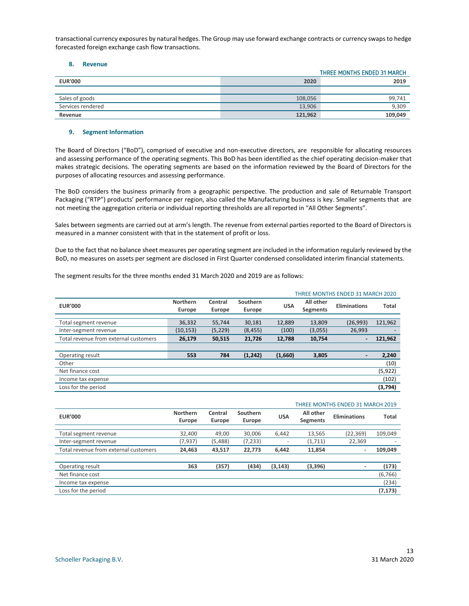transactional currency exposures by natural hedges. The Group may use forward exchange contracts or currency swaps to hedge forecasted foreign exchange cash flow transactions.

#### **8. Revenue**

|                   |         | THREE MONTHS ENDED 31 MARCH |
|-------------------|---------|-----------------------------|
| <b>EUR'000</b>    | 2020    | 2019                        |
|                   |         |                             |
| Sales of goods    | 108,056 | 99.741                      |
| Services rendered | 13,906  | 9,309                       |
| Revenue           | 121.962 | 109,049                     |

#### **9. Segment Information**

The Board of Directors ("BoD"), comprised of executive and non-executive directors, are responsible for allocating resources and assessing performance of the operating segments. This BoD has been identified as the chief operating decision-maker that makes strategic decisions. The operating segments are based on the information reviewed by the Board of Directors for the purposes of allocating resources and assessing performance.

The BoD considers the business primarily from a geographic perspective. The production and sale of Returnable Transport Packaging ("RTP") products' performance per region, also called the Manufacturing business is key. Smaller segments that are not meeting the aggregation criteria or individual reporting thresholds are all reported in "All Other Segments".

Sales between segments are carried out at arm's length. The revenue from external parties reported to the Board of Directors is measured in a manner consistent with that in the statement of profit or loss.

Due to the fact that no balance sheet measures per operating segment are included in the information regularly reviewed by the BoD, no measures on assets per segment are disclosed in First Quarter condensed consolidated interim financial statements.

|                                       | THREE MONTHS ENDED 31 MARCH 2020 |                   |                    |            |                              |                          |              |
|---------------------------------------|----------------------------------|-------------------|--------------------|------------|------------------------------|--------------------------|--------------|
| <b>EUR'000</b>                        | Northern<br>Europe               | Central<br>Europe | Southern<br>Europe | <b>USA</b> | All other<br><b>Segments</b> | Eliminations             | <b>Total</b> |
|                                       |                                  |                   |                    |            |                              |                          |              |
| Total segment revenue                 | 36,332                           | 55,744            | 30,181             | 12,889     | 13,809                       | (26,993)                 | 121,962      |
| Inter-segment revenue                 | (10, 153)                        | (5, 229)          | (8, 455)           | (100)      | (3,055)                      | 26,993                   |              |
| Total revenue from external customers | 26,179                           | 50,515            | 21,726             | 12,788     | 10,754                       | $\blacksquare$           | 121,962      |
|                                       |                                  |                   |                    |            |                              |                          |              |
| Operating result                      | 553                              | 784               | (1, 242)           | (1,660)    | 3,805                        | $\overline{\phantom{a}}$ | 2,240        |
| Other                                 |                                  |                   |                    |            |                              |                          | (10)         |
| Net finance cost                      |                                  |                   |                    |            |                              |                          | (5, 922)     |
| Income tax expense                    |                                  |                   |                    |            |                              |                          | (102)        |
| Loss for the period                   |                                  |                   |                    |            |                              |                          | (3,794)      |

The segment results for the three months ended 31 March 2020 and 2019 are as follows:

|                                       |                           |                   |                    | <b>THREE MONTHS ENDED 31 MARCH 2019</b> |                              |              |              |
|---------------------------------------|---------------------------|-------------------|--------------------|-----------------------------------------|------------------------------|--------------|--------------|
| <b>EUR'000</b>                        | <b>Northern</b><br>Europe | Central<br>Europe | Southern<br>Europe | <b>USA</b>                              | All other<br><b>Segments</b> | Eliminations | <b>Total</b> |
| Total segment revenue                 | 32,400                    | 49,00             | 30,006             | 6,442                                   | 13,565                       | (22, 369)    | 109,049      |
| Inter-segment revenue                 | (7, 937)                  | (5,488)           | (7, 233)           | -                                       | (1,711)                      | 22,369       |              |
| Total revenue from external customers | 24,463                    | 43,517            | 22.773             | 6.442                                   | 11.854                       | ٠            | 109.049      |
|                                       |                           |                   |                    |                                         |                              |              |              |
| Operating result                      | 363                       | (357)             | (434)              | (3, 143)                                | (3,396)                      | ٠            | (173)        |
| Net finance cost                      |                           |                   |                    |                                         |                              |              | (6, 766)     |
| Income tax expense                    |                           |                   |                    |                                         |                              |              | (234)        |
| Loss for the period                   |                           |                   |                    |                                         |                              |              | (7, 173)     |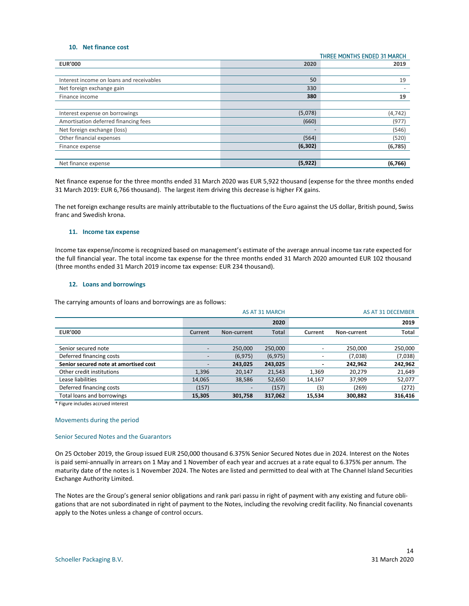#### **10. Net finance cost**

|                                          |          | THREE MONTHS ENDED 31 MARCH |
|------------------------------------------|----------|-----------------------------|
| <b>EUR'000</b>                           | 2020     | 2019                        |
|                                          |          |                             |
| Interest income on loans and receivables | 50       | 19                          |
| Net foreign exchange gain                | 330      |                             |
| Finance income                           | 380      | 19                          |
|                                          |          |                             |
| Interest expense on borrowings           | (5,078)  | (4, 742)                    |
| Amortisation deferred financing fees     | (660)    | (977)                       |
| Net foreign exchange (loss)              |          | (546)                       |
| Other financial expenses                 | (564)    | (520)                       |
| Finance expense                          | (6, 302) | (6,785)                     |
|                                          |          |                             |
| Net finance expense                      | (5, 922) | (6,766)                     |

Net finance expense for the three months ended 31 March 2020 was EUR 5,922 thousand (expense for the three months ended 31 March 2019: EUR 6,766 thousand). The largest item driving this decrease is higher FX gains.

The net foreign exchange results are mainly attributable to the fluctuations of the Euro against the US dollar, British pound, Swiss franc and Swedish krona.

#### **11. Income tax expense**

Income tax expense/income is recognized based on management's estimate of the average annual income tax rate expected for the full financial year. The total income tax expense for the three months ended 31 March 2020 amounted EUR 102 thousand (three months ended 31 March 2019 income tax expense: EUR 234 thousand).

#### **12. Loans and borrowings**

The carrying amounts of loans and borrowings are as follows:

|                                       |         |                          | <b>AS AT 31 MARCH</b> |         |             | AS AT 31 DECEMBER |
|---------------------------------------|---------|--------------------------|-----------------------|---------|-------------|-------------------|
|                                       |         |                          | 2020                  |         |             | 2019              |
| <b>EUR'000</b>                        | Current | Non-current              | <b>Total</b>          | Current | Non-current | <b>Total</b>      |
|                                       |         |                          |                       |         |             |                   |
| Senior secured note                   |         | 250.000                  | 250,000               |         | 250.000     | 250,000           |
| Deferred financing costs              |         | (6, 975)                 | (6, 975)              |         | (7,038)     | (7,038)           |
| Senior secured note at amortised cost |         | 243,025                  | 243,025               |         | 242,962     | 242,962           |
| Other credit institutions             | 1,396   | 20,147                   | 21,543                | 1,369   | 20,279      | 21,649            |
| Lease liabilities                     | 14,065  | 38,586                   | 52,650                | 14,167  | 37,909      | 52,077            |
| Deferred financing costs              | (157)   | $\overline{\phantom{0}}$ | (157)                 | (3)     | (269)       | (272)             |
| Total loans and borrowings            | 15,305  | 301,758                  | 317,062               | 15,534  | 300.882     | 316,416           |

\* Figure includes accrued interest

#### Movements during the period

#### Senior Secured Notes and the Guarantors

On 25 October 2019, the Group issued EUR 250,000 thousand 6.375% Senior Secured Notes due in 2024. Interest on the Notes is paid semi-annually in arrears on 1 May and 1 November of each year and accrues at a rate equal to 6.375% per annum. The maturity date of the notes is 1 November 2024. The Notes are listed and permitted to deal with at The Channel Island Securities Exchange Authority Limited.

The Notes are the Group's general senior obligations and rank pari passu in right of payment with any existing and future obligations that are not subordinated in right of payment to the Notes, including the revolving credit facility. No financial covenants apply to the Notes unless a change of control occurs.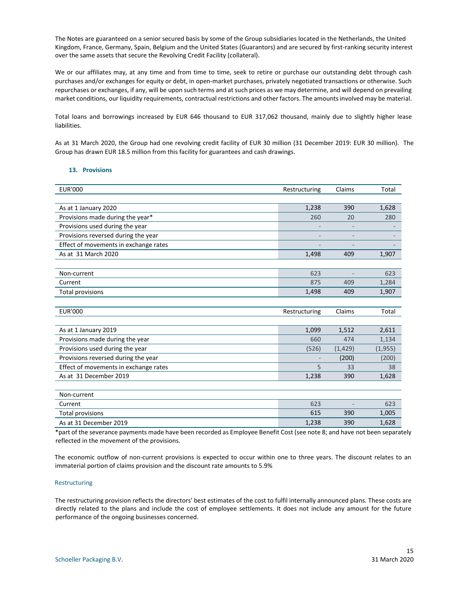The Notes are guaranteed on a senior secured basis by some of the Group subsidiaries located in the Netherlands, the United Kingdom, France, Germany, Spain, Belgium and the United States (Guarantors) and are secured by first-ranking security interest over the same assets that secure the Revolving Credit Facility (collateral).

We or our affiliates may, at any time and from time to time, seek to retire or purchase our outstanding debt through cash purchases and/or exchanges for equity or debt, in open-market purchases, privately negotiated transactions or otherwise. Such repurchases or exchanges, if any, will be upon such terms and at such prices as we may determine, and will depend on prevailing market conditions, our liquidity requirements, contractual restrictions and other factors. The amounts involved may be material.

Total loans and borrowings increased by EUR 646 thousand to EUR 317,062 thousand, mainly due to slightly higher lease liabilities.

As at 31 March 2020, the Group had one revolving credit facility of EUR 30 million (31 December 2019: EUR 30 million). The Group has drawn EUR 18.5 million from this facility for guarantees and cash drawings.

#### **13. Provisions**

| <b>EUR'000</b>                        | Restructuring | Claims   | Total    |
|---------------------------------------|---------------|----------|----------|
|                                       |               |          |          |
| As at 1 January 2020                  | 1,238         | 390      | 1,628    |
| Provisions made during the year*      | 260           | 20       | 280      |
| Provisions used during the year       |               |          |          |
| Provisions reversed during the year   |               |          |          |
| Effect of movements in exchange rates |               |          |          |
| As at 31 March 2020                   | 1,498         | 409      | 1,907    |
|                                       |               |          |          |
| Non-current                           | 623           |          | 623      |
| Current                               | 875           | 409      | 1,284    |
| <b>Total provisions</b>               | 1,498         | 409      | 1,907    |
|                                       |               |          |          |
| <b>EUR'000</b>                        | Restructuring | Claims   | Total    |
|                                       |               |          |          |
| As at 1 January 2019                  | 1,099         | 1,512    | 2,611    |
| Provisions made during the year       | 660           | 474      | 1,134    |
| Provisions used during the year       | (526)         | (1, 429) | (1, 955) |
| Provisions reversed during the year   |               | (200)    | (200)    |
| Effect of movements in exchange rates | 5             | 33       | 38       |
| As at 31 December 2019                | 1,238         | 390      | 1,628    |
|                                       |               |          |          |
| Non-current                           |               |          |          |
| Current                               | 623           |          | 623      |
| <b>Total provisions</b>               | 615           | 390      | 1,005    |
| As at 31 December 2019                | 1,238         | 390      | 1,628    |

\*part of the severance payments made have been recorded as Employee Benefit Cost (see note 8; and have not been separately reflected in the movement of the provisions.

The economic outflow of non-current provisions is expected to occur within one to three years. The discount relates to an immaterial portion of claims provision and the discount rate amounts to 5.9%

#### Restructuring

The restructuring provision reflects the directors' best estimates of the cost to fulfil internally announced plans. These costs are directly related to the plans and include the cost of employee settlements. It does not include any amount for the future performance of the ongoing businesses concerned.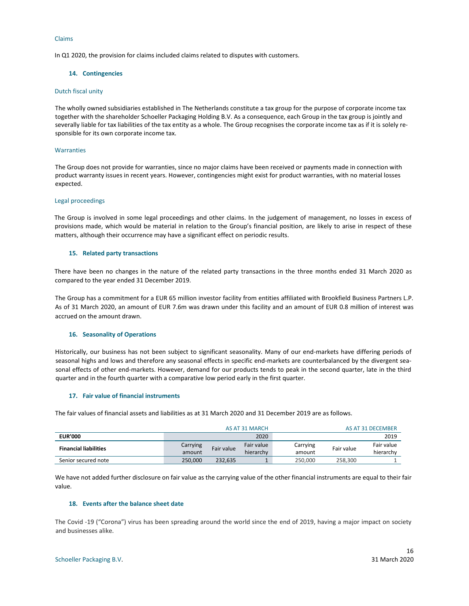#### Claims

In Q1 2020, the provision for claims included claims related to disputes with customers.

#### **14. Contingencies**

#### Dutch fiscal unity

The wholly owned subsidiaries established in The Netherlands constitute a tax group for the purpose of corporate income tax together with the shareholder Schoeller Packaging Holding B.V. As a consequence, each Group in the tax group is jointly and severally liable for tax liabilities of the tax entity as a whole. The Group recognises the corporate income tax as if it is solely responsible for its own corporate income tax.

#### **Warranties**

The Group does not provide for warranties, since no major claims have been received or payments made in connection with product warranty issues in recent years. However, contingencies might exist for product warranties, with no material losses expected.

#### Legal proceedings

The Group is involved in some legal proceedings and other claims. In the judgement of management, no losses in excess of provisions made, which would be material in relation to the Group's financial position, are likely to arise in respect of these matters, although their occurrence may have a significant effect on periodic results.

#### **15. Related party transactions**

There have been no changes in the nature of the related party transactions in the three months ended 31 March 2020 as compared to the year ended 31 December 2019.

The Group has a commitment for a EUR 65 million investor facility from entities affiliated with Brookfield Business Partners L.P. As of 31 March 2020, an amount of EUR 7.6m was drawn under this facility and an amount of EUR 0.8 million of interest was accrued on the amount drawn.

#### **16. Seasonality of Operations**

Historically, our business has not been subject to significant seasonality. Many of our end-markets have differing periods of seasonal highs and lows and therefore any seasonal effects in specific end-markets are counterbalanced by the divergent seasonal effects of other end-markets. However, demand for our products tends to peak in the second quarter, late in the third quarter and in the fourth quarter with a comparative low period early in the first quarter.

#### **17. Fair value of financial instruments**

The fair values of financial assets and liabilities as at 31 March 2020 and 31 December 2019 are as follows.

|                              | AS AT 31 MARCH                   |            |          |            |            | AS AT 31 DECEMBER |
|------------------------------|----------------------------------|------------|----------|------------|------------|-------------------|
| <b>EUR'000</b>               |                                  |            | 2020     |            |            | 2019              |
| <b>Financial liabilities</b> | Carrying<br>Fair value<br>amount | Fair value | Carrying | Fair value | Fair value |                   |
|                              |                                  | hierarchy  | amount   |            | hierarchy  |                   |
| Senior secured note          | 250.000                          | 232.635    |          | 250.000    | 258.300    |                   |

We have not added further disclosure on fair value as the carrying value of the other financial instruments are equal to their fair value.

#### **18. Events after the balance sheet date**

The Covid -19 ("Corona") virus has been spreading around the world since the end of 2019, having a major impact on society and businesses alike.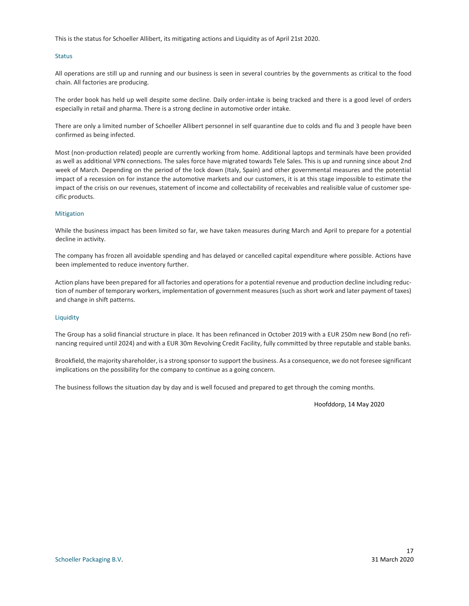This is the status for Schoeller Allibert, its mitigating actions and Liquidity as of April 21st 2020.

#### **Status**

All operations are still up and running and our business is seen in several countries by the governments as critical to the food chain. All factories are producing.

The order book has held up well despite some decline. Daily order-intake is being tracked and there is a good level of orders especially in retail and pharma. There is a strong decline in automotive order intake.

There are only a limited number of Schoeller Allibert personnel in self quarantine due to colds and flu and 3 people have been confirmed as being infected.

Most (non-production related) people are currently working from home. Additional laptops and terminals have been provided as well as additional VPN connections. The sales force have migrated towards Tele Sales. This is up and running since about 2nd week of March. Depending on the period of the lock down (Italy, Spain) and other governmental measures and the potential impact of a recession on for instance the automotive markets and our customers, it is at this stage impossible to estimate the impact of the crisis on our revenues, statement of income and collectability of receivables and realisible value of customer specific products.

#### **Mitigation**

While the business impact has been limited so far, we have taken measures during March and April to prepare for a potential decline in activity.

The company has frozen all avoidable spending and has delayed or cancelled capital expenditure where possible. Actions have been implemented to reduce inventory further.

Action plans have been prepared for all factories and operations for a potential revenue and production decline including reduction of number of temporary workers, implementation of government measures (such as short work and later payment of taxes) and change in shift patterns.

#### **Liquidity**

The Group has a solid financial structure in place. It has been refinanced in October 2019 with a EUR 250m new Bond (no refinancing required until 2024) and with a EUR 30m Revolving Credit Facility, fully committed by three reputable and stable banks.

Brookfield, the majority shareholder, is a strong sponsor to support the business. As a consequence, we do not foresee significant implications on the possibility for the company to continue as a going concern.

The business follows the situation day by day and is well focused and prepared to get through the coming months.

Hoofddorp, 14 May 2020